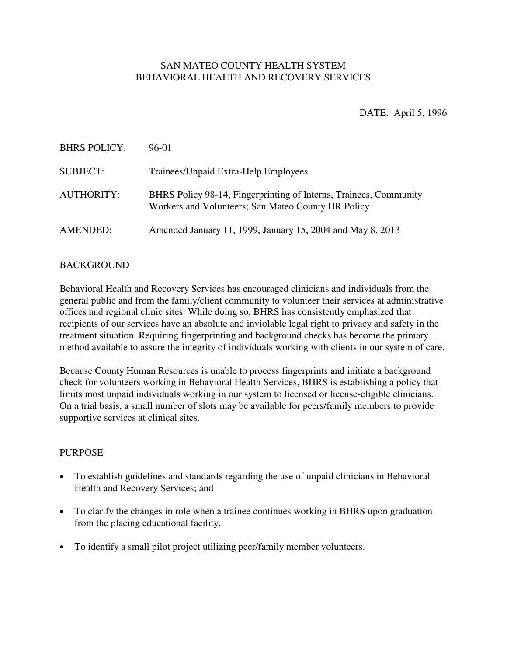# SAN MATEO COUNTY HEALTH SYSTEM BEHAVIORAL HEALTH AND RECOVERY SERVICES

DATE: April 5, 1996

| <b>BHRS POLICY:</b> | 96-01                                                                                                                   |
|---------------------|-------------------------------------------------------------------------------------------------------------------------|
| <b>SUBJECT:</b>     | Trainees/Unpaid Extra-Help Employees                                                                                    |
| AUTHORITY:          | BHRS Policy 98-14, Fingerprinting of Interns, Trainees, Community<br>Workers and Volunteers; San Mateo County HR Policy |
| AMENDED:            | Amended January 11, 1999, January 15, 2004 and May 8, 2013                                                              |

### BACKGROUND

Behavioral Health and Recovery Services has encouraged clinicians and individuals from the general public and from the family/client community to volunteer their services at administrative offices and regional clinic sites. While doing so, BHRS has consistently emphasized that recipients of our services have an absolute and inviolable legal right to privacy and safety in the treatment situation. Requiring fingerprinting and background checks has become the primary method available to assure the integrity of individuals working with clients in our system of care.

Because County Human Resources is unable to process fingerprints and initiate a background check for volunteers working in Behavioral Health Services, BHRS is establishing a policy that limits most unpaid individuals working in our system to licensed or license-eligible clinicians. On a trial basis, a small number of slots may be available for peers/family members to provide supportive services at clinical sites.

### **PURPOSE**

- To establish guidelines and standards regarding the use of unpaid clinicians in Behavioral Health and Recovery Services; and
- To clarify the changes in role when a trainee continues working in BHRS upon graduation from the placing educational facility.
- To identify a small pilot project utilizing peer/family member volunteers.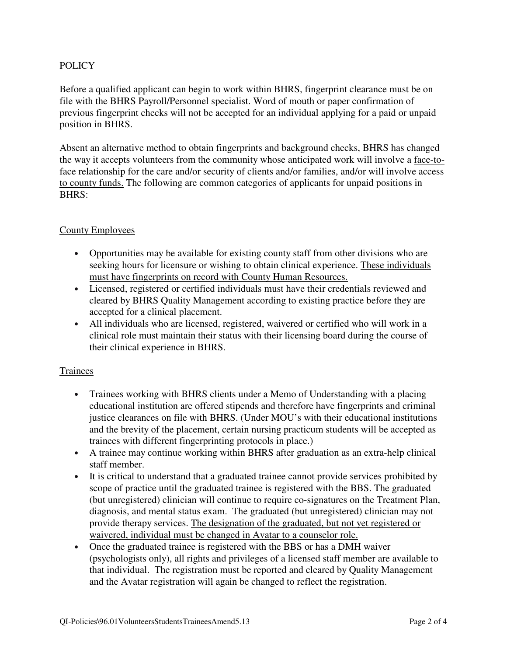## POLICY

Before a qualified applicant can begin to work within BHRS, fingerprint clearance must be on file with the BHRS Payroll/Personnel specialist. Word of mouth or paper confirmation of previous fingerprint checks will not be accepted for an individual applying for a paid or unpaid position in BHRS.

Absent an alternative method to obtain fingerprints and background checks, BHRS has changed the way it accepts volunteers from the community whose anticipated work will involve a face-toface relationship for the care and/or security of clients and/or families, and/or will involve access to county funds. The following are common categories of applicants for unpaid positions in BHRS:

### County Employees

- Opportunities may be available for existing county staff from other divisions who are seeking hours for licensure or wishing to obtain clinical experience. These individuals must have fingerprints on record with County Human Resources.
- Licensed, registered or certified individuals must have their credentials reviewed and cleared by BHRS Quality Management according to existing practice before they are accepted for a clinical placement.
- All individuals who are licensed, registered, waivered or certified who will work in a clinical role must maintain their status with their licensing board during the course of their clinical experience in BHRS.

### Trainees

- Trainees working with BHRS clients under a Memo of Understanding with a placing educational institution are offered stipends and therefore have fingerprints and criminal justice clearances on file with BHRS. (Under MOU's with their educational institutions and the brevity of the placement, certain nursing practicum students will be accepted as trainees with different fingerprinting protocols in place.)
- A trainee may continue working within BHRS after graduation as an extra-help clinical staff member.
- It is critical to understand that a graduated trainee cannot provide services prohibited by scope of practice until the graduated trainee is registered with the BBS. The graduated (but unregistered) clinician will continue to require co-signatures on the Treatment Plan, diagnosis, and mental status exam. The graduated (but unregistered) clinician may not provide therapy services. The designation of the graduated, but not yet registered or waivered, individual must be changed in Avatar to a counselor role.
- Once the graduated trainee is registered with the BBS or has a DMH waiver (psychologists only), all rights and privileges of a licensed staff member are available to that individual. The registration must be reported and cleared by Quality Management and the Avatar registration will again be changed to reflect the registration.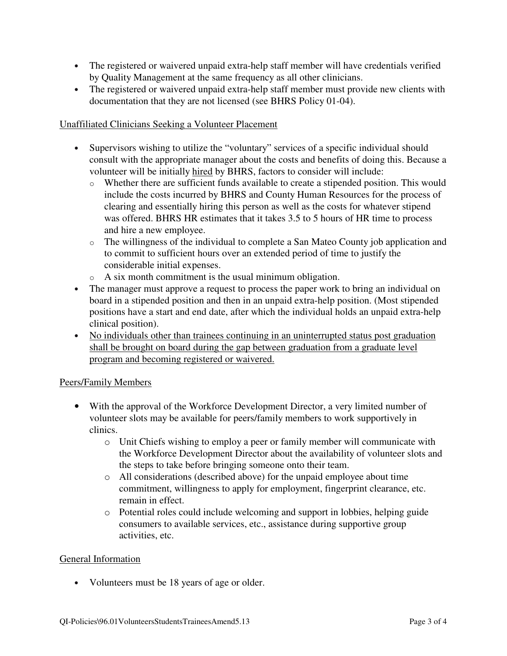- The registered or waivered unpaid extra-help staff member will have credentials verified by Quality Management at the same frequency as all other clinicians.
- The registered or waivered unpaid extra-help staff member must provide new clients with documentation that they are not licensed (see BHRS Policy 01-04).

## Unaffiliated Clinicians Seeking a Volunteer Placement

- Supervisors wishing to utilize the "voluntary" services of a specific individual should consult with the appropriate manager about the costs and benefits of doing this. Because a volunteer will be initially hired by BHRS, factors to consider will include:
	- o Whether there are sufficient funds available to create a stipended position. This would include the costs incurred by BHRS and County Human Resources for the process of clearing and essentially hiring this person as well as the costs for whatever stipend was offered. BHRS HR estimates that it takes 3.5 to 5 hours of HR time to process and hire a new employee.
	- o The willingness of the individual to complete a San Mateo County job application and to commit to sufficient hours over an extended period of time to justify the considerable initial expenses.
	- o A six month commitment is the usual minimum obligation.
- The manager must approve a request to process the paper work to bring an individual on board in a stipended position and then in an unpaid extra-help position. (Most stipended positions have a start and end date, after which the individual holds an unpaid extra-help clinical position).
- No individuals other than trainees continuing in an uninterrupted status post graduation shall be brought on board during the gap between graduation from a graduate level program and becoming registered or waivered.

# Peers/Family Members

- With the approval of the Workforce Development Director, a very limited number of volunteer slots may be available for peers/family members to work supportively in clinics.
	- o Unit Chiefs wishing to employ a peer or family member will communicate with the Workforce Development Director about the availability of volunteer slots and the steps to take before bringing someone onto their team.
	- o All considerations (described above) for the unpaid employee about time commitment, willingness to apply for employment, fingerprint clearance, etc. remain in effect.
	- o Potential roles could include welcoming and support in lobbies, helping guide consumers to available services, etc., assistance during supportive group activities, etc.

### General Information

• Volunteers must be 18 years of age or older.